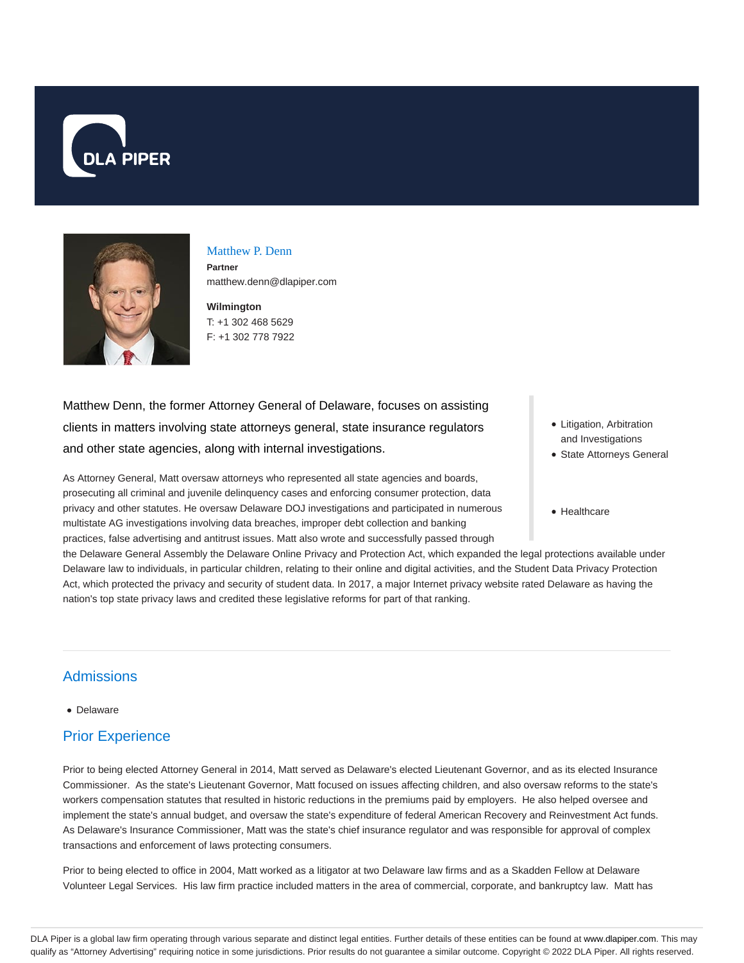



# Matthew P. Denn

**Partner** matthew.denn@dlapiper.com

**Wilmington** T: +1 302 468 5629 F: +1 302 778 7922

Matthew Denn, the former Attorney General of Delaware, focuses on assisting clients in matters involving state attorneys general, state insurance regulators and other state agencies, along with internal investigations.

As Attorney General, Matt oversaw attorneys who represented all state agencies and boards, prosecuting all criminal and juvenile delinquency cases and enforcing consumer protection, data privacy and other statutes. He oversaw Delaware DOJ investigations and participated in numerous multistate AG investigations involving data breaches, improper debt collection and banking practices, false advertising and antitrust issues. Matt also wrote and successfully passed through

the Delaware General Assembly the Delaware Online Privacy and Protection Act, which expanded the legal protections available under Delaware law to individuals, in particular children, relating to their online and digital activities, and the Student Data Privacy Protection Act, which protected the privacy and security of student data. In 2017, a major Internet privacy website rated Delaware as having the nation's top state privacy laws and credited these legislative reforms for part of that ranking.

**Admissions** 

Delaware

# Prior Experience

Prior to being elected Attorney General in 2014, Matt served as Delaware's elected Lieutenant Governor, and as its elected Insurance Commissioner. As the state's Lieutenant Governor, Matt focused on issues affecting children, and also oversaw reforms to the state's workers compensation statutes that resulted in historic reductions in the premiums paid by employers. He also helped oversee and implement the state's annual budget, and oversaw the state's expenditure of federal American Recovery and Reinvestment Act funds. As Delaware's Insurance Commissioner, Matt was the state's chief insurance regulator and was responsible for approval of complex transactions and enforcement of laws protecting consumers.

Prior to being elected to office in 2004, Matt worked as a litigator at two Delaware law firms and as a Skadden Fellow at Delaware Volunteer Legal Services. His law firm practice included matters in the area of commercial, corporate, and bankruptcy law. Matt has

- Litigation, Arbitration and Investigations
- State Attorneys General
- Healthcare

DLA Piper is a global law firm operating through various separate and distinct legal entities. Further details of these entities can be found at www.dlapiper.com. This may qualify as "Attorney Advertising" requiring notice in some jurisdictions. Prior results do not guarantee a similar outcome. Copyright @ 2022 DLA Piper. All rights reserved.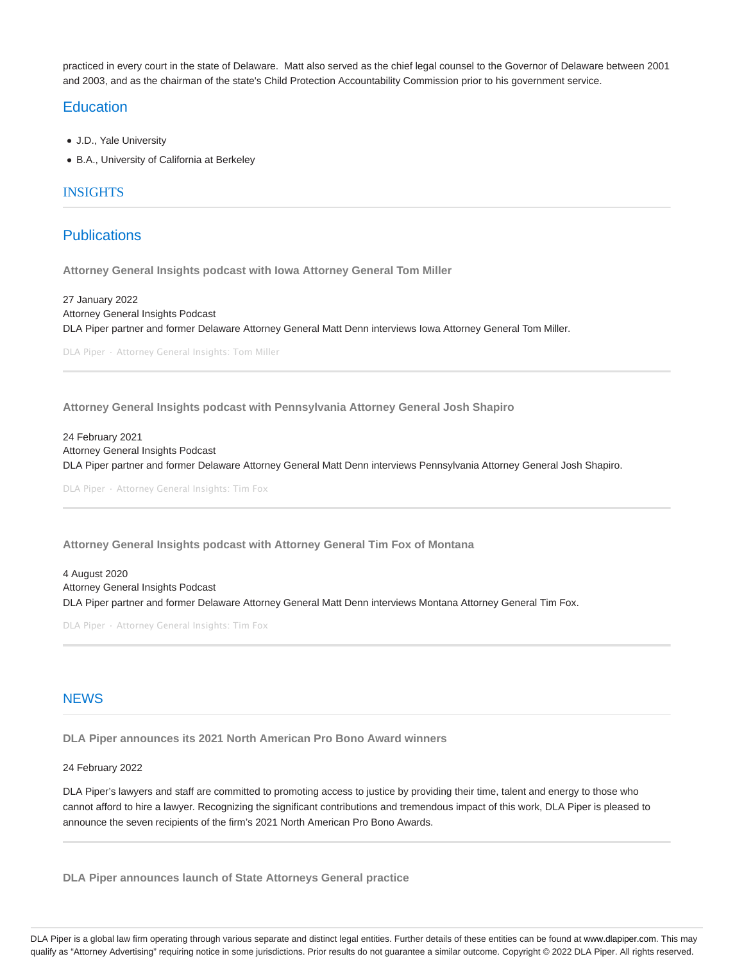practiced in every court in the state of Delaware. Matt also served as the chief legal counsel to the Governor of Delaware between 2001 and 2003, and as the chairman of the state's Child Protection Accountability Commission prior to his government service.

### **Education**

- J.D., Yale University
- B.A., University of California at Berkeley

#### INSIGHTS

## **Publications**

**Attorney General Insights podcast with Iowa Attorney General Tom Miller**

27 January 2022 Attorney General Insights Podcast DLA Piper partner and former Delaware Attorney General Matt Denn interviews Iowa Attorney General Tom Miller.

DLA Piper · Attorney General Insights: Tom Miller

**Attorney General Insights podcast with Pennsylvania Attorney General Josh Shapiro**

24 February 2021 Attorney General Insights Podcast DLA Piper partner and former Delaware Attorney General Matt Denn interviews Pennsylvania Attorney General Josh Shapiro.

DLA Piper · Attorney General Insights: Tim Fox

**Attorney General Insights podcast with Attorney General Tim Fox of Montana**

4 August 2020 Attorney General Insights Podcast DLA Piper partner and former Delaware Attorney General Matt Denn interviews Montana Attorney General Tim Fox.

DLA Piper · Attorney General Insights: Tim Fox

#### **NFWS**

**DLA Piper announces its 2021 North American Pro Bono Award winners**

#### 24 February 2022

DLA Piper's lawyers and staff are committed to promoting access to justice by providing their time, talent and energy to those who cannot afford to hire a lawyer. Recognizing the significant contributions and tremendous impact of this work, DLA Piper is pleased to announce the seven recipients of the firm's 2021 North American Pro Bono Awards.

**DLA Piper announces launch of State Attorneys General practice**

DLA Piper is a global law firm operating through various separate and distinct legal entities. Further details of these entities can be found at www.dlapiper.com. This may qualify as "Attorney Advertising" requiring notice in some jurisdictions. Prior results do not guarantee a similar outcome. Copyright @ 2022 DLA Piper. All rights reserved.